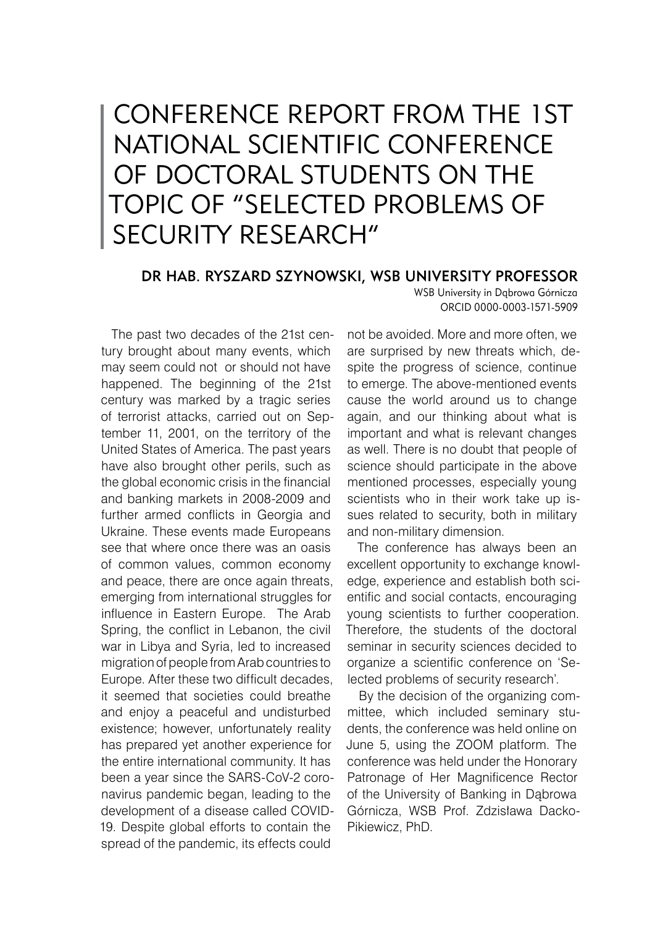## Conference report from the 1st National Scientific Conference of Doctoral Students on the topic of "Selected problems of security research"

## dr hab. Ryszard Szynowski, WSB University professor

WSB University in Dąbrowa Górnicza ORCID 0000-0003-1571-5909

The past two decades of the 21st century brought about many events, which may seem could not or should not have happened. The beginning of the 21st century was marked by a tragic series of terrorist attacks, carried out on September 11, 2001, on the territory of the United States of America. The past years have also brought other perils, such as the global economic crisis in the financial and banking markets in 2008-2009 and further armed conflicts in Georgia and Ukraine. These events made Europeans see that where once there was an oasis of common values, common economy and peace, there are once again threats, emerging from international struggles for influence in Eastern Europe. The Arab Spring, the conflict in Lebanon, the civil war in Libya and Syria, led to increased migration of people from Arab countries to Europe. After these two difficult decades, it seemed that societies could breathe and enjoy a peaceful and undisturbed existence; however, unfortunately reality has prepared yet another experience for the entire international community. It has been a year since the SARS-CoV-2 coronavirus pandemic began, leading to the development of a disease called COVID-19. Despite global efforts to contain the spread of the pandemic, its effects could

not be avoided. More and more often, we are surprised by new threats which, despite the progress of science, continue to emerge. The above-mentioned events cause the world around us to change again, and our thinking about what is important and what is relevant changes as well. There is no doubt that people of science should participate in the above mentioned processes, especially young scientists who in their work take up issues related to security, both in military and non-military dimension.

The conference has always been an excellent opportunity to exchange knowledge, experience and establish both scientific and social contacts, encouraging young scientists to further cooperation. Therefore, the students of the doctoral seminar in security sciences decided to organize a scientific conference on 'Selected problems of security research'.

By the decision of the organizing committee, which included seminary students, the conference was held online on June 5, using the ZOOM platform. The conference was held under the Honorary Patronage of Her Magnificence Rector of the University of Banking in Dąbrowa Górnicza, WSB Prof. Zdzisława Dacko-Pikiewicz, PhD.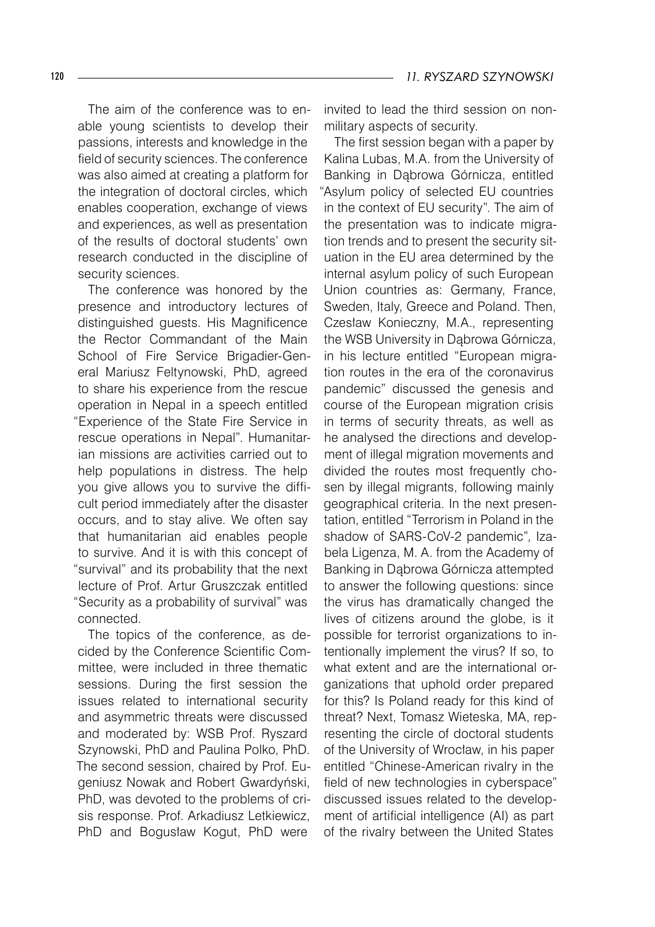The aim of the conference was to enable young scientists to develop their passions, interests and knowledge in the field of security sciences. The conference was also aimed at creating a platform for the integration of doctoral circles, which enables cooperation, exchange of views and experiences, as well as presentation of the results of doctoral students' own research conducted in the discipline of security sciences.

The conference was honored by the presence and introductory lectures of distinguished guests. His Magnificence the Rector Commandant of the Main School of Fire Service Brigadier-General Mariusz Feltynowski, PhD, agreed to share his experience from the rescue operation in Nepal in a speech entitled "Experience of the State Fire Service in rescue operations in Nepal". Humanitarian missions are activities carried out to help populations in distress. The help you give allows you to survive the difficult period immediately after the disaster occurs, and to stay alive. We often say that humanitarian aid enables people to survive. And it is with this concept of "survival" and its probability that the next lecture of Prof. Artur Gruszczak entitled "Security as a probability of survival" was connected.

The topics of the conference, as decided by the Conference Scientific Committee, were included in three thematic sessions. During the first session the issues related to international security and asymmetric threats were discussed and moderated by: WSB Prof. Ryszard Szynowski, PhD and Paulina Polko, PhD. The second session, chaired by Prof. Eugeniusz Nowak and Robert Gwardyński, PhD, was devoted to the problems of crisis response. Prof. Arkadiusz Letkiewicz, PhD and Bogusław Kogut, PhD were

invited to lead the third session on nonmilitary aspects of security.

The first session began with a paper by Kalina Lubas, M.A. from the University of Banking in Dąbrowa Górnicza, entitled "Asylum policy of selected EU countries in the context of EU security". The aim of the presentation was to indicate migration trends and to present the security situation in the EU area determined by the internal asylum policy of such European Union countries as: Germany, France, Sweden, Italy, Greece and Poland. Then, Czesław Konieczny, M.A., representing the WSB University in Dąbrowa Górnicza, in his lecture entitled "European migration routes in the era of the coronavirus pandemic" discussed the genesis and course of the European migration crisis in terms of security threats, as well as he analysed the directions and development of illegal migration movements and divided the routes most frequently chosen by illegal migrants, following mainly geographical criteria. In the next presentation, entitled "Terrorism in Poland in the shadow of SARS-CoV-2 pandemic", Izabela Ligenza, M. A. from the Academy of Banking in Dąbrowa Górnicza attempted to answer the following questions: since the virus has dramatically changed the lives of citizens around the globe, is it possible for terrorist organizations to intentionally implement the virus? If so, to what extent and are the international organizations that uphold order prepared for this? Is Poland ready for this kind of threat? Next, Tomasz Wieteska, MA, representing the circle of doctoral students of the University of Wrocław, in his paper entitled "Chinese-American rivalry in the field of new technologies in cyberspace" discussed issues related to the development of artificial intelligence (AI) as part of the rivalry between the United States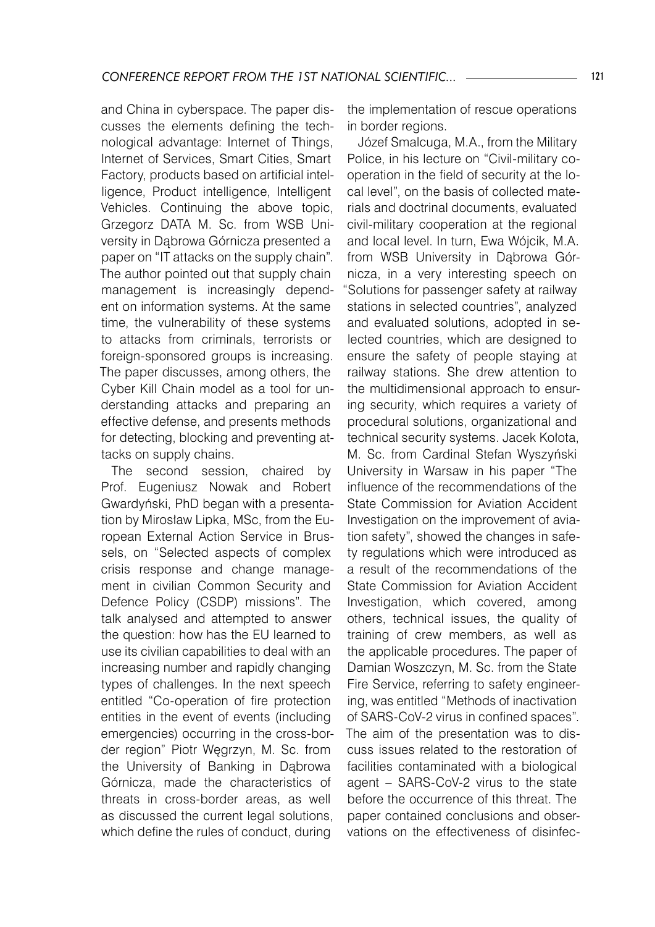and China in cyberspace. The paper discusses the elements defining the technological advantage: Internet of Things, Internet of Services, Smart Cities, Smart Factory, products based on artificial intelligence, Product intelligence, Intelligent Vehicles. Continuing the above topic, Grzegorz DATA M. Sc. from WSB University in Dąbrowa Górnicza presented a paper on "IT attacks on the supply chain". The author pointed out that supply chain management is increasingly dependent on information systems. At the same time, the vulnerability of these systems to attacks from criminals, terrorists or foreign-sponsored groups is increasing. The paper discusses, among others, the Cyber Kill Chain model as a tool for understanding attacks and preparing an effective defense, and presents methods for detecting, blocking and preventing attacks on supply chains.

The second session, chaired by Prof. Eugeniusz Nowak and Robert Gwardyński, PhD began with a presentation by Mirosław Lipka, MSc, from the European External Action Service in Brussels, on "Selected aspects of complex crisis response and change management in civilian Common Security and Defence Policy (CSDP) missions". The talk analysed and attempted to answer the question: how has the EU learned to use its civilian capabilities to deal with an increasing number and rapidly changing types of challenges. In the next speech entitled "Co-operation of fire protection entities in the event of events (including emergencies) occurring in the cross-border region" Piotr Węgrzyn, M. Sc. from the University of Banking in Dąbrowa Górnicza, made the characteristics of threats in cross-border areas, as well as discussed the current legal solutions, which define the rules of conduct, during

the implementation of rescue operations in border regions.

Józef Smalcuga, M.A., from the Military Police, in his lecture on "Civil-military cooperation in the field of security at the local level", on the basis of collected materials and doctrinal documents, evaluated civil-military cooperation at the regional and local level. In turn, Ewa Wójcik, M.A. from WSB University in Dąbrowa Górnicza, in a very interesting speech on "Solutions for passenger safety at railway stations in selected countries", analyzed and evaluated solutions, adopted in selected countries, which are designed to ensure the safety of people staying at railway stations. She drew attention to the multidimensional approach to ensuring security, which requires a variety of procedural solutions, organizational and technical security systems. Jacek Kołota, M. Sc. from Cardinal Stefan Wyszyński University in Warsaw in his paper "The influence of the recommendations of the State Commission for Aviation Accident Investigation on the improvement of aviation safety", showed the changes in safety regulations which were introduced as a result of the recommendations of the State Commission for Aviation Accident Investigation, which covered, among others, technical issues, the quality of training of crew members, as well as the applicable procedures. The paper of Damian Woszczyn, M. Sc. from the State Fire Service, referring to safety engineering, was entitled "Methods of inactivation of SARS-CoV-2 virus in confined spaces". The aim of the presentation was to discuss issues related to the restoration of facilities contaminated with a biological agent – SARS-CoV-2 virus to the state before the occurrence of this threat. The paper contained conclusions and observations on the effectiveness of disinfec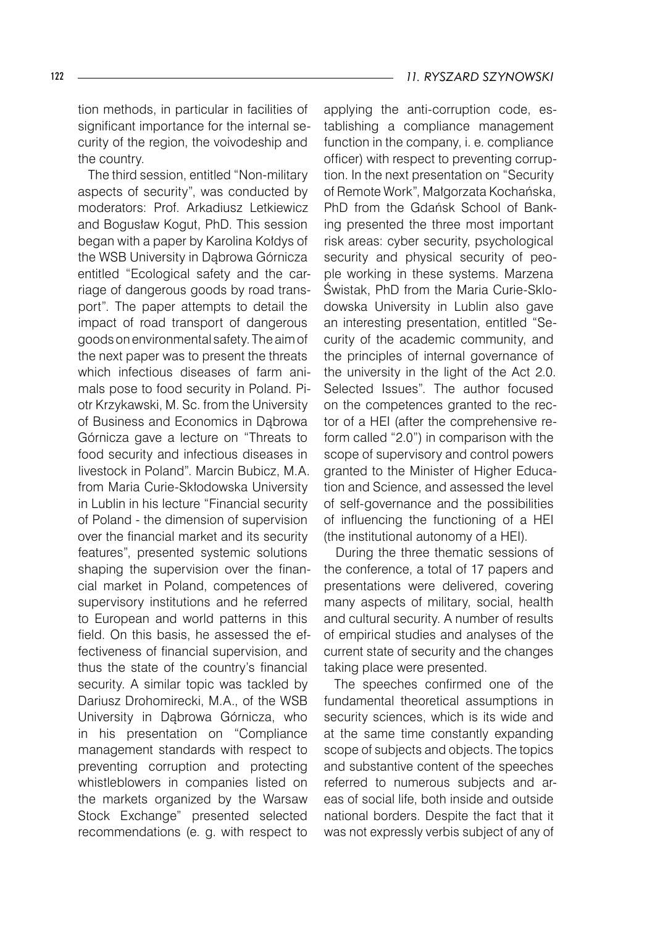tion methods, in particular in facilities of significant importance for the internal security of the region, the voivodeship and the country.

The third session, entitled "Non-military aspects of security", was conducted by moderators: Prof. Arkadiusz Letkiewicz and Bogusław Kogut, PhD. This session began with a paper by Karolina Kołdys of the WSB University in Dąbrowa Górnicza entitled "Ecological safety and the carriage of dangerous goods by road transport". The paper attempts to detail the impact of road transport of dangerous goods on environmental safety. The aim of the next paper was to present the threats which infectious diseases of farm animals pose to food security in Poland. Piotr Krzykawski, M. Sc. from the University of Business and Economics in Dąbrowa Górnicza gave a lecture on "Threats to food security and infectious diseases in livestock in Poland". Marcin Bubicz, M.A. from Maria Curie-Skłodowska University in Lublin in his lecture "Financial security of Poland - the dimension of supervision over the financial market and its security features", presented systemic solutions shaping the supervision over the financial market in Poland, competences of supervisory institutions and he referred to European and world patterns in this field. On this basis, he assessed the effectiveness of financial supervision, and thus the state of the country's financial security. A similar topic was tackled by Dariusz Drohomirecki, M.A., of the WSB University in Dąbrowa Górnicza, who in his presentation on "Compliance management standards with respect to preventing corruption and protecting whistleblowers in companies listed on the markets organized by the Warsaw Stock Exchange" presented selected recommendations (e. g. with respect to

applying the anti-corruption code, establishing a compliance management function in the company, i. e. compliance officer) with respect to preventing corruption. In the next presentation on "Security of Remote Work", Małgorzata Kochańska, PhD from the Gdańsk School of Banking presented the three most important risk areas: cyber security, psychological security and physical security of people working in these systems. Marzena Świstak, PhD from the Maria Curie-Sklodowska University in Lublin also gave an interesting presentation, entitled "Security of the academic community, and the principles of internal governance of the university in the light of the Act 2.0. Selected Issues". The author focused on the competences granted to the rector of a HEI (after the comprehensive reform called "2.0") in comparison with the scope of supervisory and control powers granted to the Minister of Higher Education and Science, and assessed the level of self-governance and the possibilities of influencing the functioning of a HEI (the institutional autonomy of a HEI).

During the three thematic sessions of the conference, a total of 17 papers and presentations were delivered, covering many aspects of military, social, health and cultural security. A number of results of empirical studies and analyses of the current state of security and the changes taking place were presented.

The speeches confirmed one of the fundamental theoretical assumptions in security sciences, which is its wide and at the same time constantly expanding scope of subjects and objects. The topics and substantive content of the speeches referred to numerous subjects and areas of social life, both inside and outside national borders. Despite the fact that it was not expressly verbis subject of any of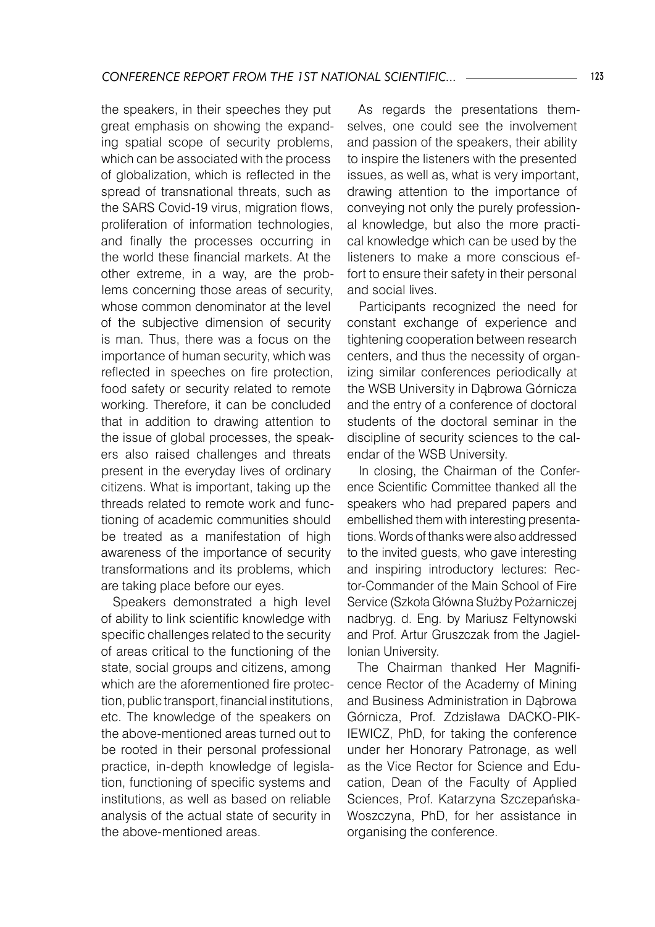the speakers, in their speeches they put great emphasis on showing the expanding spatial scope of security problems, which can be associated with the process of globalization, which is reflected in the spread of transnational threats, such as the SARS Covid-19 virus, migration flows, proliferation of information technologies, and finally the processes occurring in the world these financial markets. At the other extreme, in a way, are the problems concerning those areas of security, whose common denominator at the level of the subjective dimension of security is man. Thus, there was a focus on the importance of human security, which was reflected in speeches on fire protection, food safety or security related to remote working. Therefore, it can be concluded that in addition to drawing attention to the issue of global processes, the speakers also raised challenges and threats present in the everyday lives of ordinary citizens. What is important, taking up the threads related to remote work and functioning of academic communities should be treated as a manifestation of high awareness of the importance of security transformations and its problems, which are taking place before our eyes.

Speakers demonstrated a high level of ability to link scientific knowledge with specific challenges related to the security of areas critical to the functioning of the state, social groups and citizens, among which are the aforementioned fire protection, public transport, financial institutions, etc. The knowledge of the speakers on the above-mentioned areas turned out to be rooted in their personal professional practice, in-depth knowledge of legislation, functioning of specific systems and institutions, as well as based on reliable analysis of the actual state of security in the above-mentioned areas.

As regards the presentations themselves, one could see the involvement and passion of the speakers, their ability to inspire the listeners with the presented issues, as well as, what is very important, drawing attention to the importance of conveying not only the purely professional knowledge, but also the more practical knowledge which can be used by the listeners to make a more conscious effort to ensure their safety in their personal and social lives.

Participants recognized the need for constant exchange of experience and tightening cooperation between research centers, and thus the necessity of organizing similar conferences periodically at the WSB University in Dąbrowa Górnicza and the entry of a conference of doctoral students of the doctoral seminar in the discipline of security sciences to the calendar of the WSB University.

In closing, the Chairman of the Conference Scientific Committee thanked all the speakers who had prepared papers and embellished them with interesting presentations. Words of thanks were also addressed to the invited guests, who gave interesting and inspiring introductory lectures: Rector-Commander of the Main School of Fire Service (Szkoła Główna Służby Pożarniczej nadbryg. d. Eng. by Mariusz Feltynowski and Prof. Artur Gruszczak from the Jagiellonian University.

The Chairman thanked Her Magnificence Rector of the Academy of Mining and Business Administration in Dąbrowa Górnicza, Prof. Zdzisława DACKO-PIK-IEWICZ, PhD, for taking the conference under her Honorary Patronage, as well as the Vice Rector for Science and Education, Dean of the Faculty of Applied Sciences, Prof. Katarzyna Szczepańska-Woszczyna, PhD, for her assistance in organising the conference.